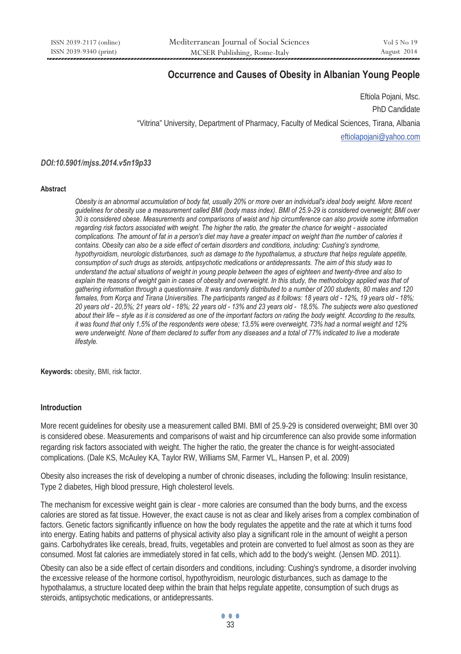# **Occurrence and Causes of Obesity in Albanian Young People**

Eftiola Pojani, Msc. PhD Candidate "Vitrina" University, Department of Pharmacy, Faculty of Medical Sciences, Tirana, Albania eftiolapojani@yahoo.com

### *DOI:10.5901/mjss.2014.v5n19p33*

#### **Abstract**

*Obesity is an abnormal accumulation of body fat, usually 20% or more over an individual's ideal body weight. More recent guidelines for obesity use a measurement called BMI (body mass index). BMI of 25.9-29 is considered overweight; BMI over 30 is considered obese. Measurements and comparisons of waist and hip circumference can also provide some information regarding risk factors associated with weight. The higher the ratio, the greater the chance for weight - associated complications. The amount of fat in a person's diet may have a greater impact on weight than the number of calories it*  contains. Obesity can also be a side effect of certain disorders and conditions, including: Cushing's syndrome, *hypothyroidism, neurologic disturbances, such as damage to the hypothalamus, a structure that helps regulate appetite, consumption of such drugs as steroids, antipsychotic medications or antidepressants. The aim of this study was to understand the actual situations of weight in young people between the ages of eighteen and twenty-three and also to explain the reasons of weight gain in cases of obesity and overweight. In this study, the methodology applied was that of gathering information through a questionnaire. It was randomly distributed to a number of 200 students, 80 males and 120 females, from Korça and Tirana Universities. The participants ranged as it follows: 18 years old - 12%, 19 years old - 18%; 20 years old - 20,5%; 21 years old - 18%; 22 years old - 13% and 23 years old - 18,5%. The subjects were also questioned about their life – style as it is considered as one of the important factors on rating the body weight. According to the results, it was found that only 1,5% of the respondents were obese; 13,5% were overweight, 73% had a normal weight and 12%*  were underweight. None of them declared to suffer from any diseases and a total of 77% indicated to live a moderate *lifestyle.* 

**Keywords:** obesity, BMI, risk factor.

### **Introduction**

More recent guidelines for obesity use a measurement called BMI. BMI of 25.9-29 is considered overweight; BMI over 30 is considered obese. Measurements and comparisons of waist and hip circumference can also provide some information regarding risk factors associated with weight. The higher the ratio, the greater the chance is for weight-associated complications. (Dale KS, McAuley KA, Taylor RW, Williams SM, Farmer VL, Hansen P, et al. 2009)

Obesity also increases the risk of developing a number of chronic diseases, including the following: Insulin resistance, Type 2 diabetes, High blood pressure, High cholesterol levels.

The mechanism for excessive weight gain is clear - more calories are consumed than the body burns, and the excess calories are stored as fat tissue. However, the exact cause is not as clear and likely arises from a complex combination of factors. Genetic factors significantly influence on how the body regulates the appetite and the rate at which it turns food into energy. Eating habits and patterns of physical activity also play a significant role in the amount of weight a person gains. Carbohydrates like cereals, bread, fruits, vegetables and protein are converted to fuel almost as soon as they are consumed. Most fat calories are immediately stored in fat cells, which add to the body's weight. (Jensen MD. 2011).

Obesity can also be a side effect of certain disorders and conditions, including: Cushing's syndrome, a disorder involving the excessive release of the hormone cortisol, hypothyroidism, neurologic disturbances, such as damage to the hypothalamus, a structure located deep within the brain that helps regulate appetite, consumption of such drugs as steroids, antipsychotic medications, or antidepressants.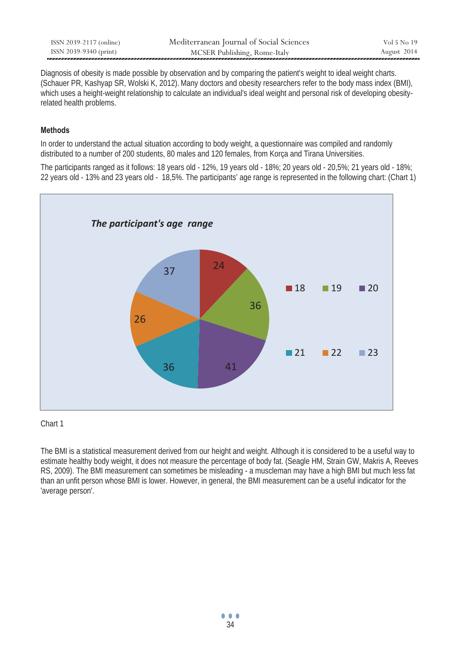| ISSN 2039-2117 (online) | Mediterranean Journal of Social Sciences | Vol 5 No 19 |
|-------------------------|------------------------------------------|-------------|
| ISSN 2039-9340 (print)  | MCSER Publishing, Rome-Italy             | August 2014 |
|                         |                                          |             |

Diagnosis of obesity is made possible by observation and by comparing the patient's weight to ideal weight charts. (Schauer PR, Kashyap SR, Wolski K, 2012).Many doctors and obesity researchers refer to the body mass index (BMI), which uses a height-weight relationship to calculate an individual's ideal weight and personal risk of developing obesityrelated health problems.

### **Methods**

In order to understand the actual situation according to body weight, a questionnaire was compiled and randomly distributed to a number of 200 students, 80 males and 120 females, from Korça and Tirana Universities.

The participants ranged as it follows: 18 years old - 12%, 19 years old - 18%; 20 years old - 20,5%; 21 years old - 18%; 22 years old - 13% and 23 years old - 18,5%. The participants' age range is represented in the following chart: (Chart 1)



### Chart 1

The BMI is a statistical measurement derived from our height and weight. Although it is considered to be a useful way to estimate healthy body weight, it does not measure the percentage of body fat. (Seagle HM, Strain GW, Makris A, Reeves RS, 2009). The BMI measurement can sometimes be misleading - a muscleman may have a high BMI but much less fat than an unfit person whose BMI is lower. However, in general, the BMI measurement can be a useful indicator for the 'average person'.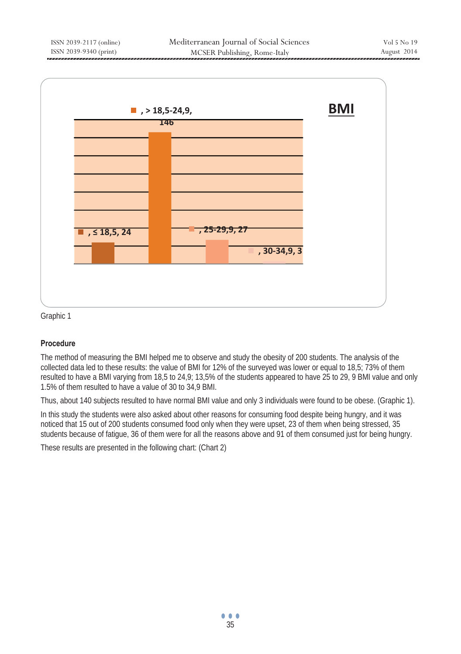

Graphic 1

### **Procedure**

The method of measuring the BMI helped me to observe and study the obesity of 200 students. The analysis of the collected data led to these results: the value of BMI for 12% of the surveyed was lower or equal to 18,5; 73% of them resulted to have a BMI varying from 18,5 to 24,9; 13,5% of the students appeared to have 25 to 29, 9 BMI value and only 1.5% of them resulted to have a value of 30 to 34,9 BMI.

Thus, about 140 subjects resulted to have normal BMI value and only 3 individuals were found to be obese. (Graphic 1).

In this study the students were also asked about other reasons for consuming food despite being hungry, and it was noticed that 15 out of 200 students consumed food only when they were upset, 23 of them when being stressed, 35 students because of fatigue, 36 of them were for all the reasons above and 91 of them consumed just for being hungry.

These results are presented in the following chart: (Chart 2)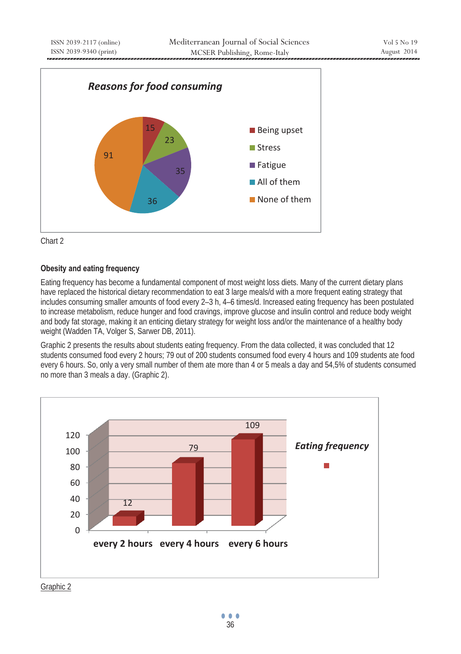



## **Obesity and eating frequency**

Eating frequency has become a fundamental component of most weight loss diets. Many of the current dietary plans have replaced the historical dietary recommendation to eat 3 large meals/d with a more frequent eating strategy that includes consuming smaller amounts of food every 2–3 h, 4–6 times/d. Increased eating frequency has been postulated to increase metabolism, reduce hunger and food cravings, improve glucose and insulin control and reduce body weight and body fat storage, making it an enticing dietary strategy for weight loss and/or the maintenance of a healthy body weight (Wadden TA, Volger S, Sarwer DB, 2011).

Graphic 2 presents the results about students eating frequency. From the data collected, it was concluded that 12 students consumed food every 2 hours; 79 out of 200 students consumed food every 4 hours and 109 students ate food every 6 hours. So, only a very small number of them ate more than 4 or 5 meals a day and 54,5% of students consumed no more than 3 meals a day. (Graphic 2).



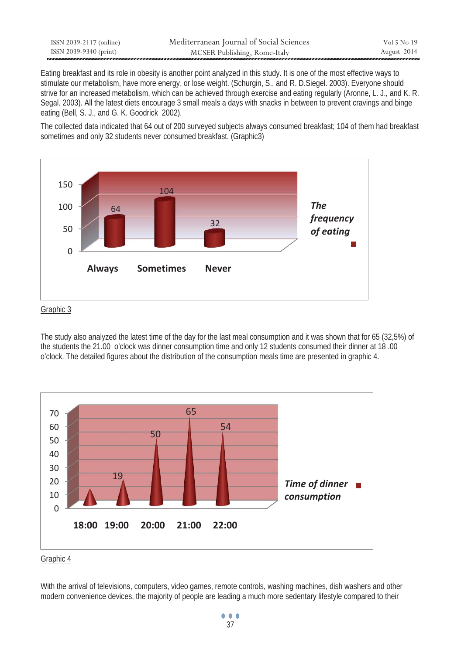| ISSN 2039-2117 (online) | Mediterranean Journal of Social Sciences | Vol 5 No 19 |
|-------------------------|------------------------------------------|-------------|
| ISSN 2039-9340 (print)  | MCSER Publishing, Rome-Italy             | August 2014 |

Eating breakfast and its role in obesity is another point analyzed in this study. It is one of the most effective ways to stimulate our metabolism, have more energy, or lose weight. (Schurgin, S., and R. D.Siegel. 2003). Everyone should strive for an increased metabolism, which can be achieved through exercise and eating regularly (Aronne, L. J., and K. R. Segal. 2003). All the latest diets encourage 3 small meals a days with snacks in between to prevent cravings and binge eating (Bell, S. J., and G. K. Goodrick 2002).

The collected data indicated that 64 out of 200 surveyed subjects always consumed breakfast; 104 of them had breakfast sometimes and only 32 students never consumed breakfast. (Graphic3)



### Graphic 3

The study also analyzed the latest time of the day for the last meal consumption and it was shown that for 65 (32,5%) of the students the 21.00 o'clock was dinner consumption time and only 12 students consumed their dinner at 18 .00 o'clock. The detailed figures about the distribution of the consumption meals time are presented in graphic 4.



Graphic 4

With the arrival of televisions, computers, video games, remote controls, washing machines, dish washers and other modern convenience devices, the majority of people are leading a much more sedentary lifestyle compared to their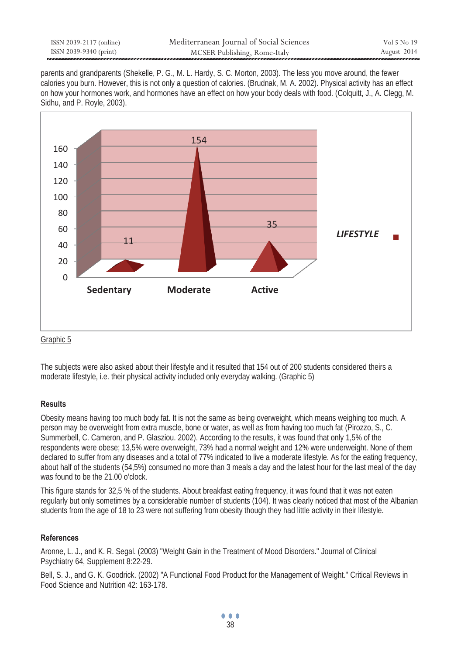| ISSN 2039-2117 (online) | Mediterranean Journal of Social Sciences | Vol 5 No 19 |
|-------------------------|------------------------------------------|-------------|
| ISSN 2039-9340 (print)  | MCSER Publishing, Rome-Italy             | August 2014 |

parents and grandparents (Shekelle, P. G., M. L. Hardy, S. C. Morton, 2003). The less you move around, the fewer calories you burn. However, this is not only a question of calories. (Brudnak, M. A. 2002). Physical activity has an effect on how your hormones work, and hormones have an effect on how your body deals with food. (Colquitt, J., A. Clegg, M. Sidhu, and P. Royle, 2003).



Graphic 5

The subjects were also asked about their lifestyle and it resulted that 154 out of 200 students considered theirs a moderate lifestyle, i.e. their physical activity included only everyday walking. (Graphic 5)

### **Results**

Obesity means having too much body fat. It is not the same as being overweight, which means weighing too much. A person may be overweight from extra muscle, bone or water, as well as from having too much fat (Pirozzo, S., C. Summerbell, C. Cameron, and P. Glasziou. 2002). According to the results, it was found that only 1,5% of the respondents were obese; 13,5% were overweight, 73% had a normal weight and 12% were underweight. None of them declared to suffer from any diseases and a total of 77% indicated to live a moderate lifestyle. As for the eating frequency, about half of the students (54,5%) consumed no more than 3 meals a day and the latest hour for the last meal of the day was found to be the 21.00 o'clock.

This figure stands for 32,5 % of the students. About breakfast eating frequency, it was found that it was not eaten regularly but only sometimes by a considerable number of students (104). It was clearly noticed that most of the Albanian students from the age of 18 to 23 were not suffering from obesity though they had little activity in their lifestyle.

### **References**

Aronne, L. J., and K. R. Segal. (2003) "Weight Gain in the Treatment of Mood Disorders." Journal of Clinical Psychiatry 64, Supplement 8:22-29.

Bell, S. J., and G. K. Goodrick. (2002) "A Functional Food Product for the Management of Weight." Critical Reviews in Food Science and Nutrition 42: 163-178.